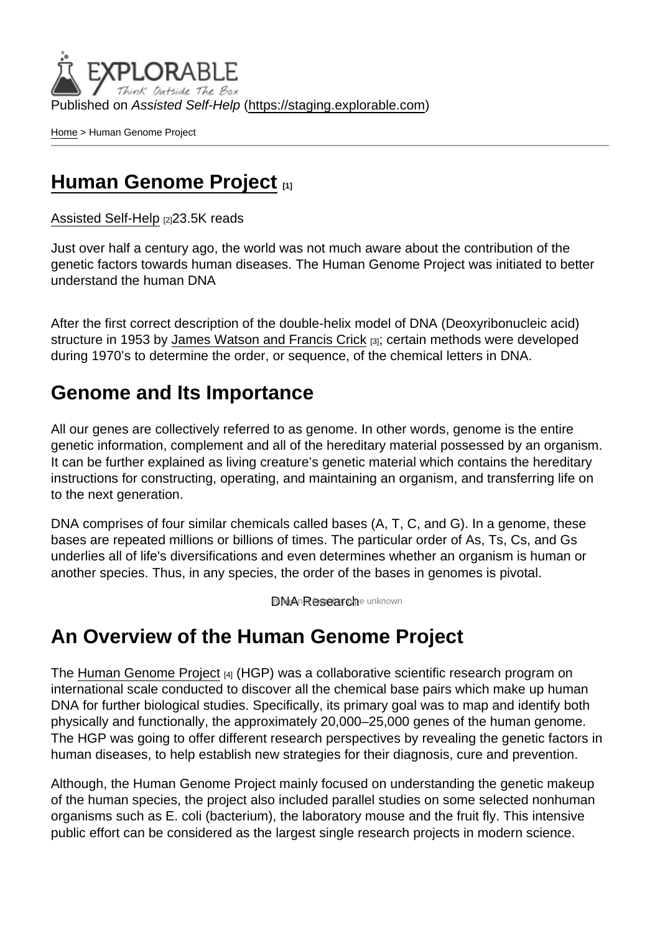Published on Assisted Self-Help [\(https://staging.explorable.com](https://staging.explorable.com))

[Home](https://staging.explorable.com/en) > Human Genome Project

## [Human Genome Project](https://staging.explorable.com/en/human-genome-project) [1]

[Assisted Self-Help](https://staging.explorable.com/en) [2]23.5K reads

Just over half a century ago, the world was not much aware about the contribution of the genetic factors towards human diseases. The Human Genome Project was initiated to better understand the human DNA

After the first correct description of the double-helix model of DNA (Deoxyribonucleic acid) structure in 1953 by [James Watson and Francis Crick](https://staging.explorable.com/who-discovered-dna) [3]; certain methods were developed during 1970's to determine the order, or sequence, of the chemical letters in DNA.

## Genome and Its Importance

All our genes are collectively referred to as genome. In other words, genome is the entire genetic information, complement and all of the hereditary material possessed by an organism. It can be further explained as living creature's genetic material which contains the hereditary instructions for constructing, operating, and maintaining an organism, and transferring life on to the next generation.

DNA comprises of four similar chemicals called bases (A, T, C, and G). In a genome, these bases are repeated millions or billions of times. The particular order of As, Ts, Cs, and Gs underlies all of life's diversifications and even determines whether an organism is human or another species. Thus, in any species, the order of the bases in genomes is pivotal.

DNA Researche unknown

## An Overview of the Human Genome Project

The [Human Genome Project](http://web.ornl.gov/sci/techresources/Human_Genome/project/index.shtml) [4] (HGP) was a collaborative scientific research program on international scale conducted to discover all the chemical base pairs which make up human DNA for further biological studies. Specifically, its primary goal was to map and identify both physically and functionally, the approximately 20,000–25,000 genes of the human genome. The HGP was going to offer different research perspectives by revealing the genetic factors in human diseases, to help establish new strategies for their diagnosis, cure and prevention.

Although, the Human Genome Project mainly focused on understanding the genetic makeup of the human species, the project also included parallel studies on some selected nonhuman organisms such as E. coli (bacterium), the laboratory mouse and the fruit fly. This intensive public effort can be considered as the largest single research projects in modern science.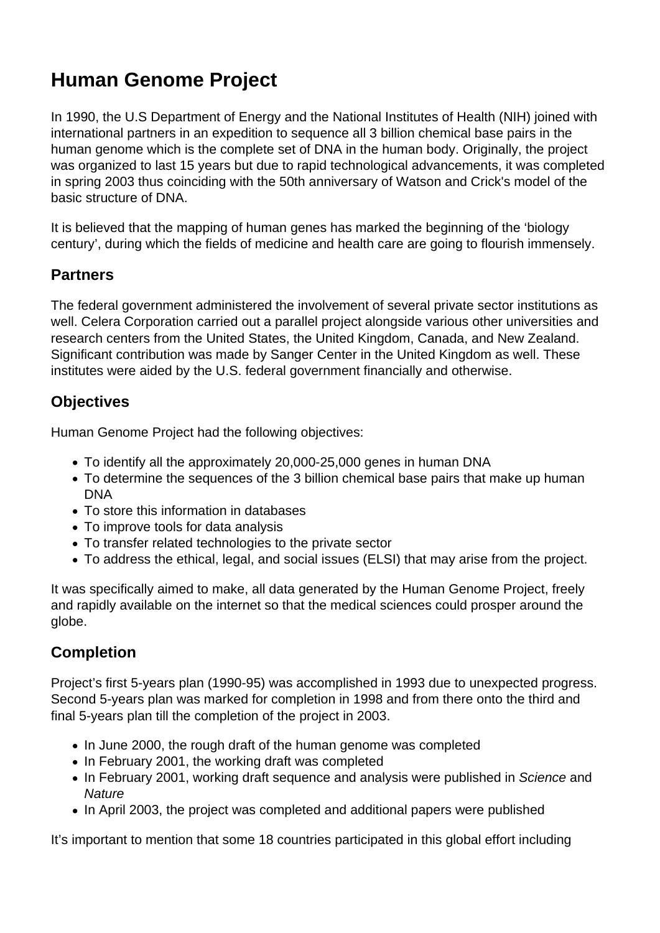# **Human Genome Project**

In 1990, the U.S Department of Energy and the National Institutes of Health (NIH) joined with international partners in an expedition to sequence all 3 billion chemical base pairs in the human genome which is the complete set of DNA in the human body. Originally, the project was organized to last 15 years but due to rapid technological advancements, it was completed in spring 2003 thus coinciding with the 50th anniversary of Watson and Crick's model of the basic structure of DNA.

It is believed that the mapping of human genes has marked the beginning of the 'biology century', during which the fields of medicine and health care are going to flourish immensely.

### **Partners**

The federal government administered the involvement of several private sector institutions as well. Celera Corporation carried out a parallel project alongside various other universities and research centers from the United States, the United Kingdom, Canada, and New Zealand. Significant contribution was made by Sanger Center in the United Kingdom as well. These institutes were aided by the U.S. federal government financially and otherwise.

### **Objectives**

Human Genome Project had the following objectives:

- To identify all the approximately 20,000-25,000 genes in human DNA
- To determine the sequences of the 3 billion chemical base pairs that make up human DNA
- To store this information in databases
- To improve tools for data analysis
- To transfer related technologies to the private sector
- To address the ethical, legal, and social issues (ELSI) that may arise from the project.

It was specifically aimed to make, all data generated by the Human Genome Project, freely and rapidly available on the internet so that the medical sciences could prosper around the globe.

### **Completion**

Project's first 5-years plan (1990-95) was accomplished in 1993 due to unexpected progress. Second 5-years plan was marked for completion in 1998 and from there onto the third and final 5-years plan till the completion of the project in 2003.

- In June 2000, the rough draft of the human genome was completed
- In February 2001, the working draft was completed
- In February 2001, working draft sequence and analysis were published in Science and **Nature**
- In April 2003, the project was completed and additional papers were published

It's important to mention that some 18 countries participated in this global effort including